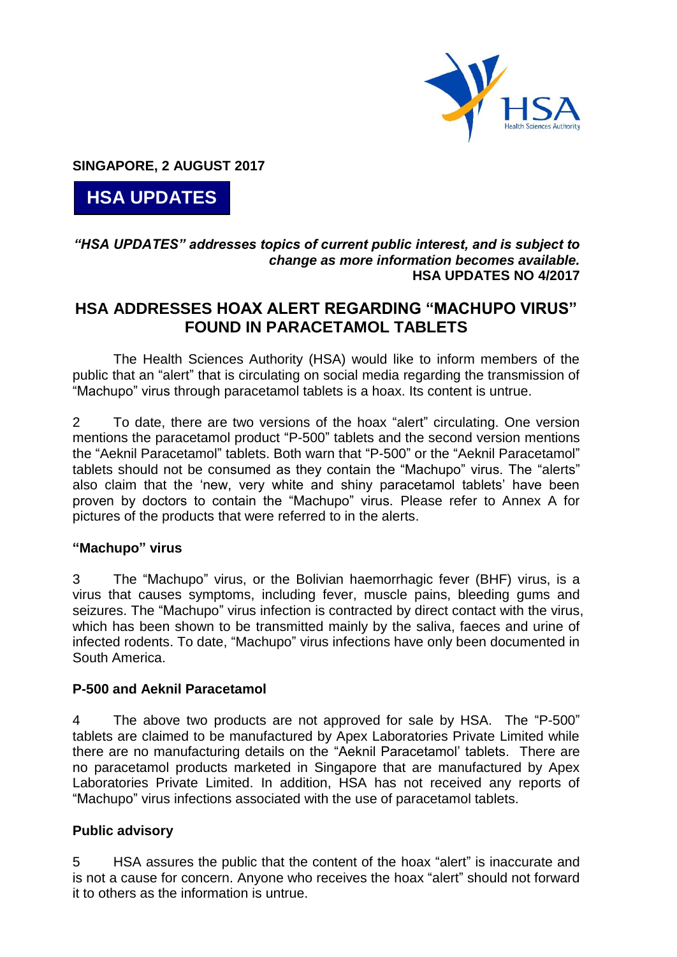

**SINGAPORE, 2 AUGUST 2017**

**HSA UPDATES**

## *"HSA UPDATES" addresses topics of current public interest, and is subject to change as more information becomes available.* **HSA UPDATES NO 4/2017**

# **HSA ADDRESSES HOAX ALERT REGARDING "MACHUPO VIRUS" FOUND IN PARACETAMOL TABLETS**

The Health Sciences Authority (HSA) would like to inform members of the public that an "alert" that is circulating on social media regarding the transmission of "Machupo" virus through paracetamol tablets is a hoax. Its content is untrue.

2 To date, there are two versions of the hoax "alert" circulating. One version mentions the paracetamol product "P-500" tablets and the second version mentions the "Aeknil Paracetamol" tablets. Both warn that "P-500" or the "Aeknil Paracetamol" tablets should not be consumed as they contain the "Machupo" virus. The "alerts" also claim that the 'new, very white and shiny paracetamol tablets' have been proven by doctors to contain the "Machupo" virus. Please refer to Annex A for pictures of the products that were referred to in the alerts.

### **"Machupo" virus**

3 The "Machupo" virus, or the Bolivian haemorrhagic fever (BHF) virus, is a virus that causes symptoms, including fever, muscle pains, bleeding gums and seizures. The "Machupo" virus infection is contracted by direct contact with the virus, which has been shown to be transmitted mainly by the saliva, faeces and urine of infected rodents. To date, "Machupo" virus infections have only been documented in South America.

### **P-500 and Aeknil Paracetamol**

4 The above two products are not approved for sale by HSA. The "P-500" tablets are claimed to be manufactured by Apex Laboratories Private Limited while there are no manufacturing details on the "Aeknil Paracetamol' tablets. There are no paracetamol products marketed in Singapore that are manufactured by Apex Laboratories Private Limited. In addition, HSA has not received any reports of "Machupo" virus infections associated with the use of paracetamol tablets.

# **Public advisory**

5 HSA assures the public that the content of the hoax "alert" is inaccurate and is not a cause for concern. Anyone who receives the hoax "alert" should not forward it to others as the information is untrue.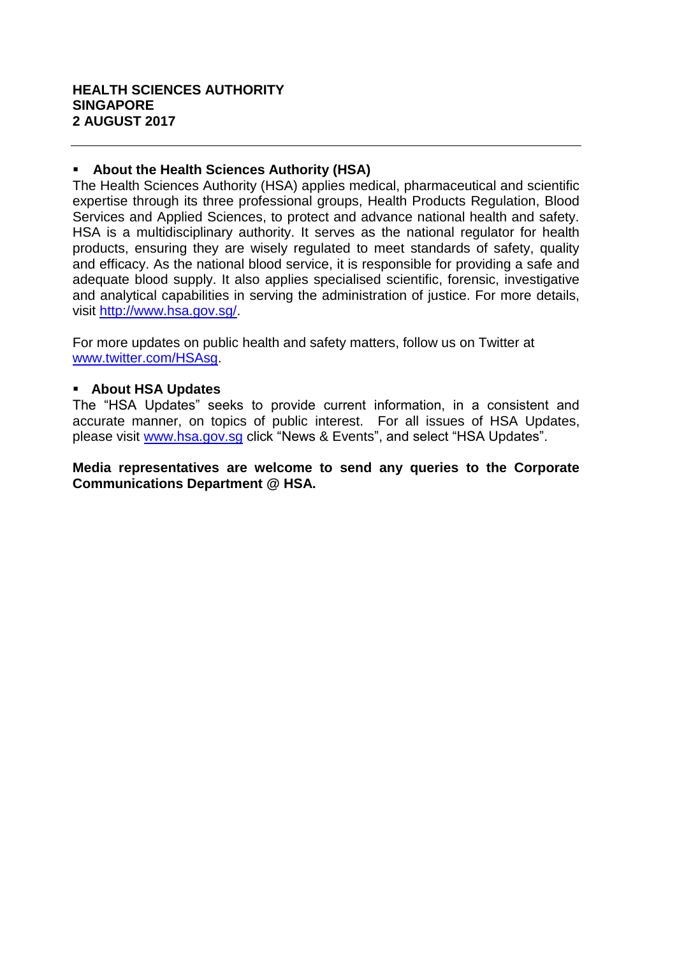#### **About the Health Sciences Authority (HSA)**

The Health Sciences Authority (HSA) applies medical, pharmaceutical and scientific expertise through its three professional groups, Health Products Regulation, Blood Services and Applied Sciences, to protect and advance national health and safety. HSA is a multidisciplinary authority. It serves as the national regulator for health products, ensuring they are wisely regulated to meet standards of safety, quality and efficacy. As the national blood service, it is responsible for providing a safe and adequate blood supply. It also applies specialised scientific, forensic, investigative and analytical capabilities in serving the administration of justice. For more details, visit [http://www.hsa.gov.sg/.](http://www.hsa.gov.sg/)

For more updates on public health and safety matters, follow us on Twitter at [www.twitter.com/HSAsg.](http://www.twitter.com/HSAsg)

### **About HSA Updates**

The "HSA Updates" seeks to provide current information, in a consistent and accurate manner, on topics of public interest. For all issues of HSA Updates, please visit [www.hsa.gov.sg](http://www.hsa.gov.sg/) click "News & Events", and select "HSA Updates".

#### **Media representatives are welcome to send any queries to the Corporate Communications Department @ HSA.**